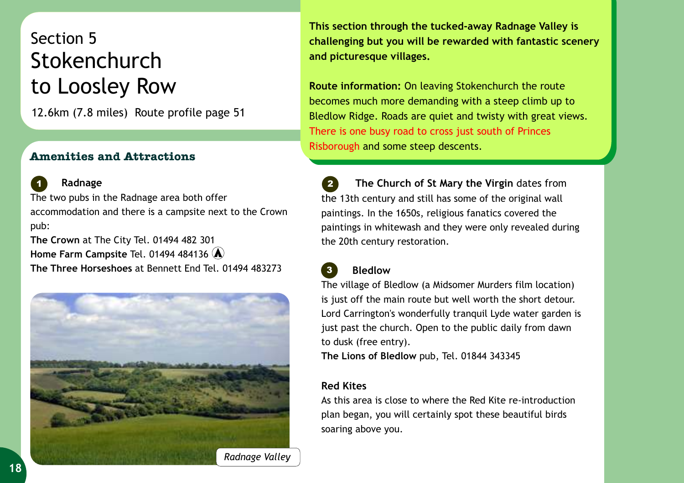## Section 5 Stokenchurch to Loosley Row

12.6km (7.8 miles) Route profile page 51

## **Amenities and Attractions**



 **Radnage** *1 2* The two pubs in the Radnage area both offer accommodation and there is a campsite next to the Crown pub:

**The Crown** at The City Tel. 01494 482 301 **The Three Horseshoes** at Bennett End Tel. 01494 483273 **Home Farm Campsite** Tel. 01494 484136



**This section through the tucked-away Radnage Valley is challenging but you will be rewarded with fantastic scenery and picturesque villages.** 

**Route information:** On leaving Stokenchurch the route becomes much more demanding with a steep climb up to Bledlow Ridge. Roads are quiet and twisty with great views. Risborough and some steep descents. There is one busy road to cross just south of Princes

 **The Church of St Mary the Virgin** dates from the 13th century and still has some of the original wall paintings. In the 1650s, religious fanatics covered the paintings in whitewash and they were only revealed during the 20th century restoration.

## **Bledlow**

*3*

The village of Bledlow (a Midsomer Murders film location) is just off the main route but well worth the short detour. Lord Carrington's wonderfully tranquil Lyde water garden is just past the church. Open to the public daily from dawn to dusk (free entry).

**The Lions of Bledlow** pub, Tel. 01844 343345

## **Red Kites**

As this area is close to where the Red Kite re-introduction plan began, you will certainly spot these beautiful birds soaring above you. Stokenchurch under the stocker of the stocker of the stocker of the stocker of the stocker